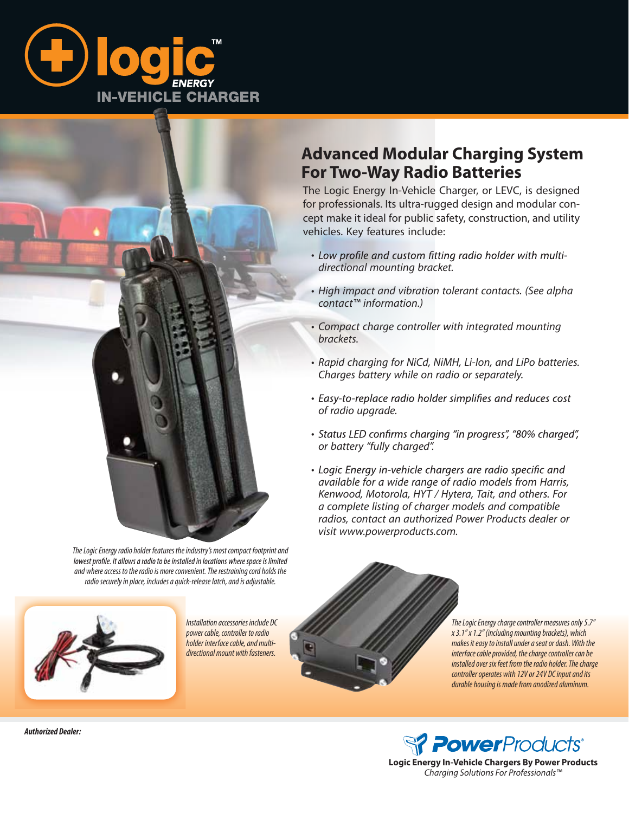



*The Logic Energy radio holder features the industry's most compact footprint and*  lowest profile. It allows a radio to be installed in locations where space is limited *and where access to the radio is more convenient. The restraining cord holds the radio securely in place, includes a quick-release latch, and is adjustable.*



*Installation accessories include DC power cable, controller to radio holder interface cable, and multidirectional mount with fasteners.*

## **Advanced Modular Charging System For Two-Way Radio Batteries**

The Logic Energy In-Vehicle Charger, or LEVC, is designed for professionals. Its ultra-rugged design and modular concept make it ideal for public safety, construction, and utility vehicles. Key features include:

- Low profile and custom fitting radio holder with multi*directional mounting bracket.*
- *High impact and vibration tolerant contacts. (See alpha contact™ information.)*
- *Compact charge controller with integrated mounting brackets.*
- *Rapid charging for NiCd, NiMH, Li-Ion, and LiPo batteries. Charges battery while on radio or separately.*
- Easy-to-replace radio holder simplifies and reduces cost *of radio upgrade.*
- Status LED confirms charging "in progress", "80% charged", *or battery "fully charged".*
- Logic Energy in-vehicle chargers are radio specific and *available for a wide range of radio models from Harris, Kenwood, Motorola, HYT / Hytera, Tait, and others. For a complete listing of charger models and compatible radios, contact an authorized Power Products dealer or visit www.powerproducts.com.*

*The Logic Energy charge controller measures only 5.7" x 3.1" x 1.2" (including mounting brackets), which makes it easy to install under a seat or dash. With the interface cable provided, the charge controller can be installed over six feet from the radio holder. The charge controller operates with 12V or 24V DC input and its durable housing is made from anodized aluminum.*



**Logic Energy In-Vehicle Chargers By Power Products** *Charging Solutions For Professionals™*

*Authorized Dealer:*